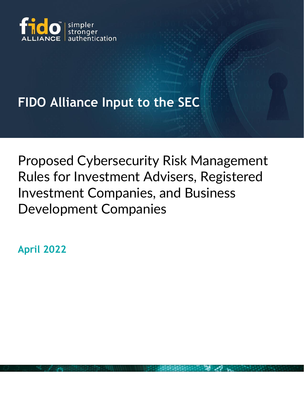

## **FIDO Alliance Input to the SEC**

Proposed Cybersecurity Risk Management Rules for Investment Advisers, Registered Investment Companies, and Business Development Companies

**April 2022**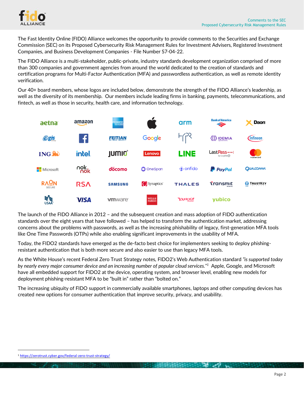

The Fast Identity Online (FIDO) Alliance welcomes the opportunity to provide comments to the Securities and Exchange Commission (SEC) on its Proposed Cybersecurity Risk Management Rules for Investment Advisers, Registered Investment Companies, and Business Development Companies - File Number S7-04-22.

The FIDO Alliance is a multi-stakeholder, public-private, industry standards development organization comprised of more than 300 companies and government agencies from around the world dedicated to the creation of standards and certification programs for Multi-Factor Authentication (MFA) and passwordless authentication, as well as remote identity verification.

Our 40+ board members, whose logos are included below, demonstrate the strength of the FIDO Alliance's leadership, as well as the diversity of its membership. Our members include leading firms in banking, payments, telecommunications, and fintech, as well as those in security, health care, and information technology.



The launch of the FIDO Alliance in 2012 – and the subsequent creation and mass adoption of FIDO authentication standards over the eight years that have followed – has helped to transform the authentication market, addressing concerns about the problems with passwords, as well as the increasing phishability of legacy, first-generation MFA tools like One Time Passwords (OTPs) while also enabling significant improvements in the usability of MFA.

Today, the FIDO2 standards have emerged as the de-facto best choice for implementers seeking to deploy phishingresistant authentication that is both more secure and also easier to use than legacy MFA tools.

As the White House's recent Federal Zero Trust Strategy notes, FIDO2's Web Authentication standard *"is supported today by nearly every major consumer device and an increasing number of popular cloud services."<sup>1</sup>* Apple, Google, and Microsoft have all embedded support for FIDO2 at the device, operating system, and browser level, enabling new models for deployment phishing-resistant MFA to be "built in" rather than "bolted on."

The increasing ubiquity of FIDO support in commercially available smartphones, laptops and other computing devices has created new options for consumer authentication that improve security, privacy, and usability.

<sup>1</sup> <https://zerotrust.cyber.gov/federal-zero-trust-strategy/>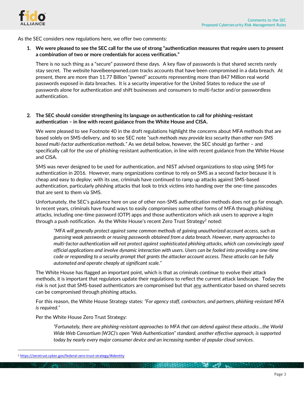

As the SEC considers new regulations here, we offer two comments:

**1. We were pleased to see the SEC call for the use of strong "authentication measures that require users to present a combination of two or more credentials for access verification."**

There is no such thing as a "secure" password these days. A key flaw of passwords is that shared secrets rarely stay secret. The website haveibeenpwned.com tracks accounts that have been compromised in a data breach. At present, there are more than 11.77 Billion "pwned" accounts representing more than 847 Million real world passwords exposed in data breaches. It is a security imperative for the United States to reduce the use of passwords alone for authentication and shift businesses and consumers to multi-factor and/or passwordless authentication.

## **2. The SEC should consider strengthening its language on authentication to call for phishing-resistant authentication – in line with recent guidance from the White House and CISA.**

We were pleased to see Footnote 40 in the draft regulations highlight the concerns about MFA methods that are based solely on SMS-delivery, and to see SEC note *"such methods may provide less security than other non-SMS based multi-factor authentication methods."* As we detail below, however, the SEC should go farther – and specifically call for the use of phishing-resistant authentication, in line with recent guidance from the White House and CISA.

SMS was never designed to be used for authentication, and NIST advised organizations to stop using SMS for authentication in 2016. However, many organizations continue to rely on SMS as a second factor because it is cheap and easy to deploy; with its use, criminals have continued to ramp up attacks against SMS-based authentication, particularly phishing attacks that look to trick victims into handing over the one-time passcodes that are sent to them via SMS.

Unfortunately, the SEC's guidance here on use of other non-SMS authentication methods does not go far enough. In recent years, criminals have found ways to easily compromises some other forms of MFA through phishing attacks, including one-time password (OTP) apps and those authenticators which ask users to approve a login through a push notification. As the White House's recent Zero Trust Strategy<sup>2</sup> noted:

*"MFA will generally protect against some common methods of gaining unauthorized account access, such as guessing weak passwords or reusing passwords obtained from a data breach. However, many approaches to multi-factor authentication will not protect against sophisticated phishing attacks, which can convincingly spoof official applications and involve dynamic interaction with users. Users can be fooled into providing a one-time code or responding to a security prompt that grants the attacker account access. These attacks can be fully automated and operate cheaply at significant scale."*

The White House has flagged an important point, which is that as criminals continue to evolve their attack methods, it is important that regulators update their regulations to reflect the current attack landscape. Today the risk is not just that SMS-based authenticators are compromised but that any authenticator based on shared secrets can be compromised through phishing attacks.

For this reason, the White House Strategy states: *"For agency staff, contractors, and partners, phishing-resistant MFA is required."* 

Per the White House Zero Trust Strategy:

*"Fortunately, there are phishing-resistant approaches to MFA that can defend against these attacks…the World Wide Web Consortium (W3C)'s open "Web Authentication" standard, another effective approach, is supported today by nearly every major consumer device and an increasing number of popular cloud services.*

**BELEVILLE AND AND LONG** 

<sup>2</sup> <https://zerotrust.cyber.gov/federal-zero-trust-strategy/#identity>